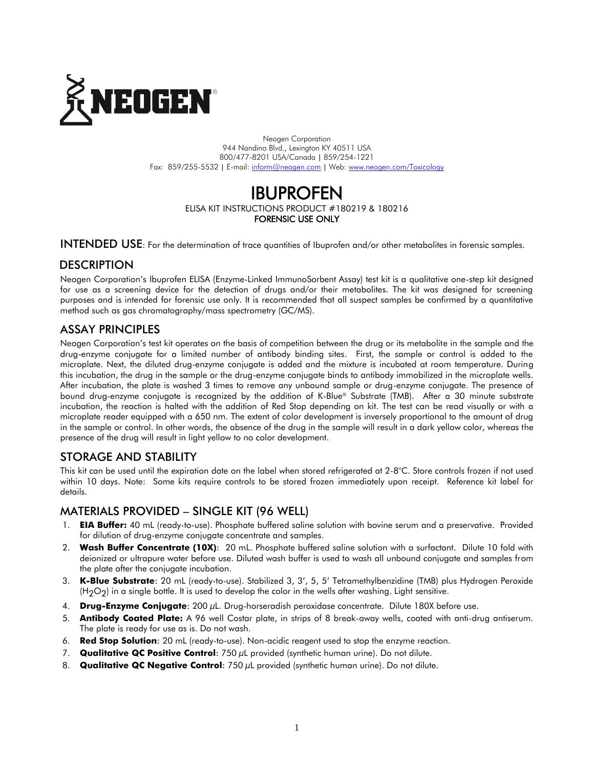

Neogen Corporation 944 Nandino Blvd., Lexington KY 40511 USA 800/477-8201 USA/Canada | 859/254-1221 Fax: 859/255-5532 | E-mail[: inform@neogen.com](mailto:inform@neogen.com) | Web[: www.neogen.com/Toxicology](http://www.neogen.com/Toxicology)

# IBUPROFEN ELISA KIT INSTRUCTIONS PRODUCT #180219 & 180216 FORENSIC USE ONLY

INTENDED USE: For the determination of trace quantities of Ibuprofen and/or other metabolites in forensic samples.

### **DESCRIPTION**

Neogen Corporation's Ibuprofen ELISA (Enzyme-Linked ImmunoSorbent Assay) test kit is a qualitative one-step kit designed for use as a screening device for the detection of drugs and/or their metabolites. The kit was designed for screening purposes and is intended for forensic use only. It is recommended that all suspect samples be confirmed by a quantitative method such as gas chromatography/mass spectrometry (GC/MS).

### ASSAY PRINCIPLES

Neogen Corporation's test kit operates on the basis of competition between the drug or its metabolite in the sample and the drug-enzyme conjugate for a limited number of antibody binding sites. First, the sample or control is added to the microplate. Next, the diluted drug-enzyme conjugate is added and the mixture is incubated at room temperature. During this incubation, the drug in the sample or the drug-enzyme conjugate binds to antibody immobilized in the microplate wells. After incubation, the plate is washed 3 times to remove any unbound sample or drug-enzyme conjugate. The presence of bound drug-enzyme conjugate is recognized by the addition of K-Blue® Substrate (TMB). After a 30 minute substrate incubation, the reaction is halted with the addition of Red Stop depending on kit. The test can be read visually or with a microplate reader equipped with a 650 nm. The extent of color development is inversely proportional to the amount of drug in the sample or control. In other words, the absence of the drug in the sample will result in a dark yellow color, whereas the presence of the drug will result in light yellow to no color development.

### STORAGE AND STABILITY

This kit can be used until the expiration date on the label when stored refrigerated at 2-8°C. Store controls frozen if not used within 10 days. Note: Some kits require controls to be stored frozen immediately upon receipt. Reference kit label for details.

### MATERIALS PROVIDED – SINGLE KIT (96 WELL)

- 1. **EIA Buffer:** 40 mL (ready-to-use). Phosphate buffered saline solution with bovine serum and a preservative. Provided for dilution of drug-enzyme conjugate concentrate and samples.
- 2. **Wash Buffer Concentrate (10X)**: 20 mL. Phosphate buffered saline solution with a surfactant. Dilute 10 fold with deionized or ultrapure water before use. Diluted wash buffer is used to wash all unbound conjugate and samples from the plate after the conjugate incubation.
- 3. **K-Blue Substrate**: 20 mL (ready-to-use). Stabilized 3, 3', 5, 5' Tetramethylbenzidine (TMB) plus Hydrogen Peroxide  $(H<sub>2</sub>O<sub>2</sub>)$  in a single bottle. It is used to develop the color in the wells after washing. Light sensitive.
- 4. **Drug-Enzyme Conjugate**: 200 µL. Drug-horseradish peroxidase concentrate. Dilute 180X before use.
- 5. **Antibody Coated Plate:** A 96 well Costar plate, in strips of 8 break-away wells, coated with anti-drug antiserum. The plate is ready for use as is. Do not wash.
- 6. **Red Stop Solution**: 20 mL (ready-to-use). Non-acidic reagent used to stop the enzyme reaction.
- 7. **Qualitative QC Positive Control**: 750 µL provided (synthetic human urine). Do not dilute.
- 8. **Qualitative QC Negative Control**: 750 µL provided (synthetic human urine). Do not dilute.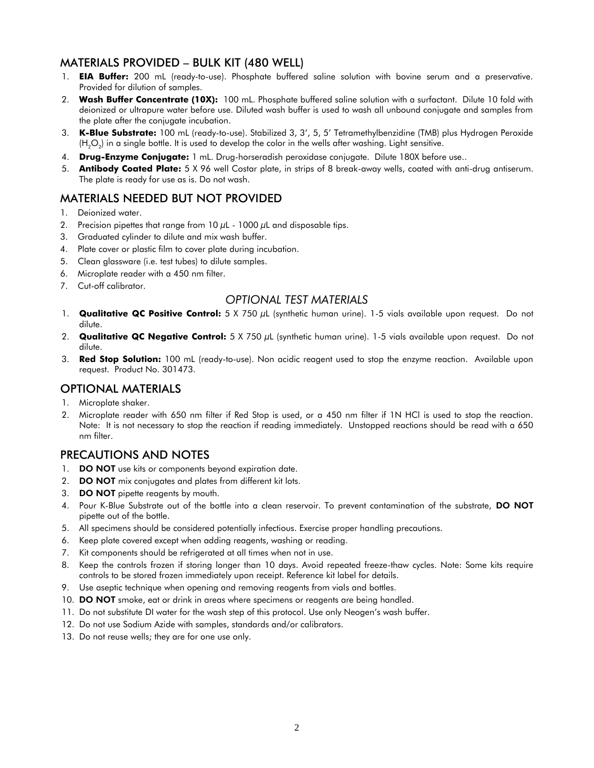## MATERIALS PROVIDED – BULK KIT (480 WELL)

- 1. **EIA Buffer:** 200 mL (ready-to-use). Phosphate buffered saline solution with bovine serum and a preservative. Provided for dilution of samples.
- 2. **Wash Buffer Concentrate (10X):** 100 mL. Phosphate buffered saline solution with a surfactant. Dilute 10 fold with deionized or ultrapure water before use. Diluted wash buffer is used to wash all unbound conjugate and samples from the plate after the conjugate incubation.
- 3. **K-Blue Substrate:** 100 mL (ready-to-use). Stabilized 3, 3', 5, 5' Tetramethylbenzidine (TMB) plus Hydrogen Peroxide (H $_{2}$ O $_{2}$ ) in a single bottle. It is used to develop the color in the wells after washing. Light sensitive.
- 4. **Drug-Enzyme Conjugate:** 1 mL. Drug-horseradish peroxidase conjugate. Dilute 180X before use..
- 5. **Antibody Coated Plate:** 5 X 96 well Costar plate, in strips of 8 break-away wells, coated with anti-drug antiserum. The plate is ready for use as is. Do not wash.

# MATERIALS NEEDED BUT NOT PROVIDED

- 1. Deionized water.
- 2. Precision pipettes that range from  $10 \mu$ L  $1000 \mu$ L and disposable tips.
- 3. Graduated cylinder to dilute and mix wash buffer.
- 4. Plate cover or plastic film to cover plate during incubation.
- 5. Clean glassware (i.e. test tubes) to dilute samples.
- 6. Microplate reader with a 450 nm filter.
- 7. Cut-off calibrator.

#### *OPTIONAL TEST MATERIALS*

- 1. **Qualitative QC Positive Control:** 5 X 750 µL (synthetic human urine). 1-5 vials available upon request. Do not dilute.
- 2. **Qualitative QC Negative Control:** 5 X 750 µL (synthetic human urine). 1-5 vials available upon request. Do not dilute.
- 3. **Red Stop Solution:** 100 mL (ready-to-use). Non acidic reagent used to stop the enzyme reaction. Available upon request. Product No. 301473.

#### OPTIONAL MATERIALS

- 1. Microplate shaker.
- 2. Microplate reader with 650 nm filter if Red Stop is used, or a 450 nm filter if 1N HCl is used to stop the reaction. Note: It is not necessary to stop the reaction if reading immediately. Unstopped reactions should be read with a 650 nm filter.

### PRECAUTIONS AND NOTES

- 1. **DO NOT** use kits or components beyond expiration date.
- 2. **DO NOT** mix conjugates and plates from different kit lots.
- 3. DO NOT pipette reagents by mouth.
- 4. Pour K-Blue Substrate out of the bottle into a clean reservoir. To prevent contamination of the substrate, DO NOT pipette out of the bottle.
- 5. All specimens should be considered potentially infectious. Exercise proper handling precautions.
- 6. Keep plate covered except when adding reagents, washing or reading.
- 7. Kit components should be refrigerated at all times when not in use.
- 8. Keep the controls frozen if storing longer than 10 days. Avoid repeated freeze-thaw cycles. Note: Some kits require controls to be stored frozen immediately upon receipt. Reference kit label for details.
- 9. Use aseptic technique when opening and removing reagents from vials and bottles.
- 10. DO NOT smoke, eat or drink in areas where specimens or reagents are being handled.
- 11. Do not substitute DI water for the wash step of this protocol. Use only Neogen's wash buffer.
- 12. Do not use Sodium Azide with samples, standards and/or calibrators.
- 13. Do not reuse wells; they are for one use only.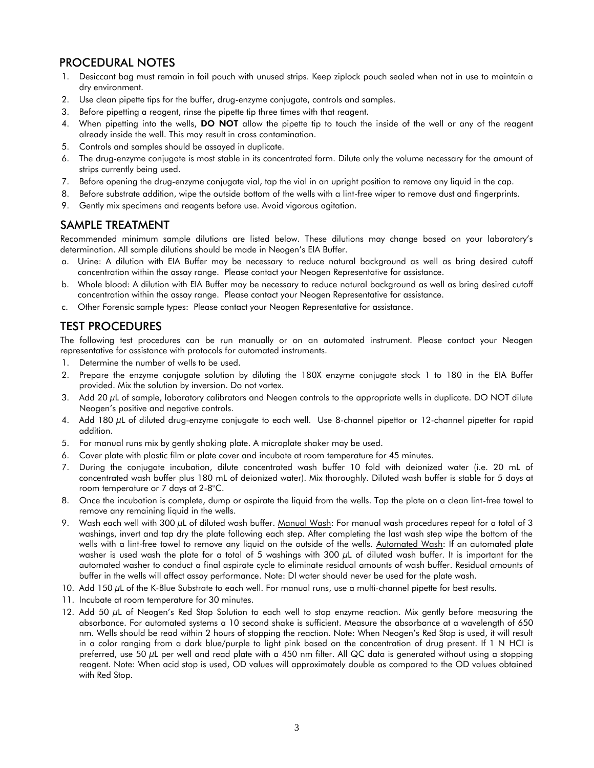## PROCEDURAL NOTES

- 1. Desiccant bag must remain in foil pouch with unused strips. Keep ziplock pouch sealed when not in use to maintain a dry environment.
- 2. Use clean pipette tips for the buffer, drug-enzyme conjugate, controls and samples.
- 3. Before pipetting a reagent, rinse the pipette tip three times with that reagent.
- 4. When pipetting into the wells, DO NOT allow the pipette tip to touch the inside of the well or any of the reagent already inside the well. This may result in cross contamination.
- 5. Controls and samples should be assayed in duplicate.
- 6. The drug-enzyme conjugate is most stable in its concentrated form. Dilute only the volume necessary for the amount of strips currently being used.
- 7. Before opening the drug-enzyme conjugate vial, tap the vial in an upright position to remove any liquid in the cap.
- 8. Before substrate addition, wipe the outside bottom of the wells with a lint-free wiper to remove dust and fingerprints.
- 9. Gently mix specimens and reagents before use. Avoid vigorous agitation.

#### SAMPLE TREATMENT

Recommended minimum sample dilutions are listed below. These dilutions may change based on your laboratory's determination. All sample dilutions should be made in Neogen's EIA Buffer.

- a. Urine: A dilution with EIA Buffer may be necessary to reduce natural background as well as bring desired cutoff concentration within the assay range. Please contact your Neogen Representative for assistance.
- b. Whole blood: A dilution with EIA Buffer may be necessary to reduce natural background as well as bring desired cutoff concentration within the assay range. Please contact your Neogen Representative for assistance.
- c. Other Forensic sample types: Please contact your Neogen Representative for assistance.

# TEST PROCEDURES

The following test procedures can be run manually or on an automated instrument. Please contact your Neogen representative for assistance with protocols for automated instruments.

- 1. Determine the number of wells to be used.
- 2. Prepare the enzyme conjugate solution by diluting the 180X enzyme conjugate stock 1 to 180 in the EIA Buffer provided. Mix the solution by inversion. Do not vortex.
- 3. Add 20 µL of sample, laboratory calibrators and Neogen controls to the appropriate wells in duplicate. DO NOT dilute Neogen's positive and negative controls.
- 4. Add 180 µL of diluted drug-enzyme conjugate to each well. Use 8-channel pipettor or 12-channel pipetter for rapid addition.
- 5. For manual runs mix by gently shaking plate. A microplate shaker may be used.
- 6. Cover plate with plastic film or plate cover and incubate at room temperature for 45 minutes.
- 7. During the conjugate incubation, dilute concentrated wash buffer 10 fold with deionized water (i.e. 20 mL of concentrated wash buffer plus 180 mL of deionized water). Mix thoroughly. Diluted wash buffer is stable for 5 days at room temperature or 7 days at 2-8°C.
- 8. Once the incubation is complete, dump or aspirate the liquid from the wells. Tap the plate on a clean lint-free towel to remove any remaining liquid in the wells.
- 9. Wash each well with 300 µL of diluted wash buffer. Manual Wash: For manual wash procedures repeat for a total of 3 washings, invert and tap dry the plate following each step. After completing the last wash step wipe the bottom of the wells with a lint-free towel to remove any liquid on the outside of the wells. Automated Wash: If an automated plate washer is used wash the plate for a total of 5 washings with 300 µL of diluted wash buffer. It is important for the automated washer to conduct a final aspirate cycle to eliminate residual amounts of wash buffer. Residual amounts of buffer in the wells will affect assay performance. Note: DI water should never be used for the plate wash.
- 10. Add 150  $\mu$ L of the K-Blue Substrate to each well. For manual runs, use a multi-channel pipette for best results.
- 11. Incubate at room temperature for 30 minutes.
- 12. Add 50  $\mu$ L of Neogen's Red Stop Solution to each well to stop enzyme reaction. Mix gently before measuring the absorbance. For automated systems a 10 second shake is sufficient. Measure the absorbance at a wavelength of 650 nm. Wells should be read within 2 hours of stopping the reaction. Note: When Neogen's Red Stop is used, it will result in a color ranging from a dark blue/purple to light pink based on the concentration of drug present. If 1 N HCI is preferred, use 50 µL per well and read plate with a 450 nm filter. All QC data is generated without using a stopping reagent. Note: When acid stop is used, OD values will approximately double as compared to the OD values obtained with Red Stop.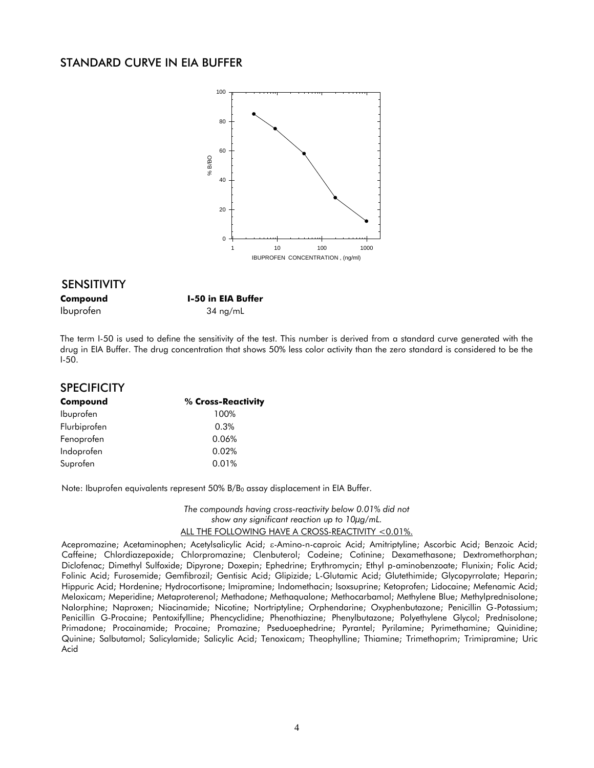#### STANDARD CURVE IN EIA BUFFER



#### SENSITIVITY

**Compound I-50 in EIA Buffer** Ibuprofen 34 ng/mL

The term I-50 is used to define the sensitivity of the test. This number is derived from a standard curve generated with the drug in EIA Buffer. The drug concentration that shows 50% less color activity than the zero standard is considered to be the I-50.

| <b>SPECIFICITY</b> |                    |
|--------------------|--------------------|
| Compound           | % Cross-Reactivity |
| Ibuprofen          | 100%               |
| Flurbiprofen       | 0.3%               |
| Fenoprofen         | 0.06%              |
| Indoprofen         | 0.02%              |
| Suprofen           | 0.01%              |

Note: Ibuprofen equivalents represent  $50\%$  B/B<sub>0</sub> assay displacement in EIA Buffer.

*The compounds having cross-reactivity below 0.01% did not show any significant reaction up to 10µg/mL.* ALL THE FOLLOWING HAVE A CROSS-REACTIVITY <0.01%.

Acepromazine; Acetaminophen; Acetylsalicylic Acid; s-Amino-n-caproic Acid; Amitriptyline; Ascorbic Acid; Benzoic Acid; Caffeine; Chlordiazepoxide; Chlorpromazine; Clenbuterol; Codeine; Cotinine; Dexamethasone; Dextromethorphan; Diclofenac; Dimethyl Sulfoxide; Dipyrone; Doxepin; Ephedrine; Erythromycin; Ethyl p-aminobenzoate; Flunixin; Folic Acid; Folinic Acid; Furosemide; Gemfibrozil; Gentisic Acid; Glipizide; L-Glutamic Acid; Glutethimide; Glycopyrrolate; Heparin; Hippuric Acid; Hordenine; Hydrocortisone; Imipramine; Indomethacin; Isoxsuprine; Ketoprofen; Lidocaine; Mefenamic Acid; Meloxicam; Meperidine; Metaproterenol; Methadone; Methaqualone; Methocarbamol; Methylene Blue; Methylprednisolone; Nalorphine; Naproxen; Niacinamide; Nicotine; Nortriptyline; Orphendarine; Oxyphenbutazone; Penicillin G-Potassium; Penicillin G-Procaine; Pentoxifylline; Phencyclidine; Phenothiazine; Phenylbutazone; Polyethylene Glycol; Prednisolone; Primadone; Procainamide; Procaine; Promazine; Pseduoephedrine; Pyrantel; Pyrilamine; Pyrimethamine; Quinidine; Quinine; Salbutamol; Salicylamide; Salicylic Acid; Tenoxicam; Theophylline; Thiamine; Trimethoprim; Trimipramine; Uric Acid